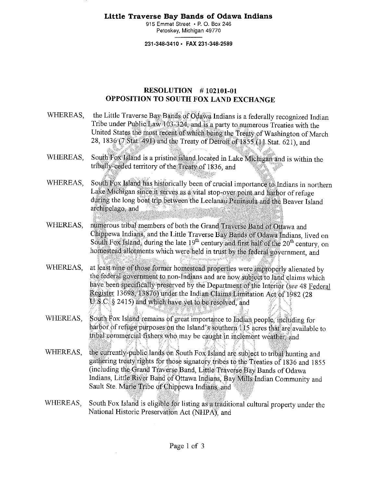## **Little Traverse Bay Bands of Odawa Indians**

915 Emmet Street • R O. Box 246 Petoskey, Michigan 49770

231-348-3410 • FAX 231-348-2589

## RESOLUTION # 102101-01 OPPOSITION TO SOUTH FOX LAND EXCHANGE

- WHEREAS, the Little Traverse Bay Bands of Odawa Indians is a federally recognized Indian Tribe under Public Law 103-324, and is a party to numerous Treaties with the United States the most recent of which being the Treaty of Washington of March 28, 1836 (7 Stat. 491) and the Treaty of Detroit of 1.855 (11 Stat. 621), and
- WHEREAS, South Fox Island is a pristine island located in Lake Michigan and is within the tribally-ceded territory of the 'freaty of 1836, and
- WHEREAS, South Fox Island has historically been of crucial importance to Indians in northern Lake Michigan since it serves as a vital stop-over point and harbor of refuge during the long boat trip between the Leelanau Peninsula and the Beaver Island archipelago, and
- WHEREAS, numerous tribal members of both the Grand Traverse Band:of Ottawa and Chippewa Indians, and the Little Traverse Bay Bands of Odawa Indians, lived on South Fox Island; during the late  $19<sup>th</sup>$  century and first half of the  $20<sup>th</sup>$  century, on homestead allotments which were held in trust by the federal government, and
- WHEREAS, at least nine of those former homestead properties were improperly alienated by the federal government to non-Indians and are. now subject to land claims which have been specifically preserved by the Department of the Interior *(see 48 Federal*) Register 13698. 13876) under the Indian Claims Limitation Act of 1982 (28 U.S.C. § 2415) and which have yet to be resolved, and
- WHEREAS, South Fox Island remains of great importance to Indian people, including for harbor of reftige pirposes on the Island's southern 115 acres that are available to tribal commercial fishers who may be caught in inclement weather, and
- WHEREAS, the currently-public lands on South Fox Island are subject to tribal hunting and gathering treaty rights for thOse signatory tfibes to the Treaties of 1836 and 1855 (including the Grand Traverse Band, Little-Traverse Bay.Bands of Odawa Indians, Little River Band of Ottawa Indians, Bay Mills Indian Community and Sault Ste. Marie Tribe of Chippewa Indians, and
- WHEREAS, South Fox Island is eligible for listing as a traditional cultural property under the National Historic Preservation Act (NHPA), and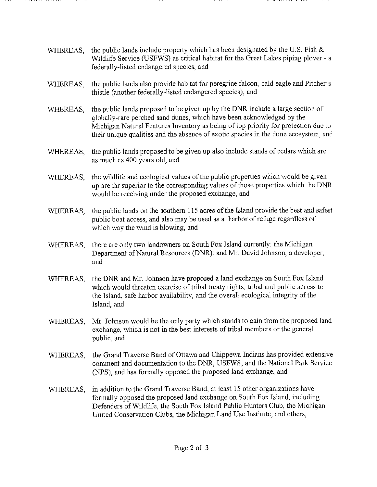- WHEREAS, the public lands include property which has been designated by the U.S. Fish & Wildlife Service (USFWS) as critical habitat for the Great Lakes piping plover - a federally-listed endangered species, and
- WHEREAS, the public lands also provide habitat for peregrine falcon, bald eagle and Pitcher's thistle (another federally-listed endangered species), and
- WHEREAS, the public lands proposed to be given up by the DNR include a large section of globally-rare perched sand dunes, which have been acknowledged by the Michigan Natural Features Inventory as being of top priority for protection due to their unique qualities and the absence of exotic species in the dune ecosystem, and
- WHEREAS, the public lands proposed to be given up also include stands of cedars which are as much as 400 years old, and
- WHEREAS, the wildlife and ecological values of the public properties which would be given up are far superior to the corresponding values of those properties which the DNR would be receiving under the proposed exchange, and
- WHEREAS, the public lands on the southern 115 acres of the Island provide the best and safest public boat access, and also may be used as a harbor of refuge regardless of which way the wind is blowing, and
- WHEREAS, there are only two landowners on South Fox Island currently: the Michigan Department of Natural Resources (DNR); and Mr. David Johnson, a developer, and
- WHEREAS, the DNR and Mr. Johnson have proposed a land exchange on South Fox Island which would threaten exercise of tribal treaty rights, tribal and public access to the Island, safe harbor availability, and the overall ecological integrity of the Island, and
- WHEREAS, Mr. Johnson would be the only party which stands to gain from the proposed land exchange, which is not in the best interests of tribal members or the general public, and
- WHEREAS, the Grand Traverse Band of Ottawa and Chippewa Indians has provided extensive comment and documentation to the DNR, USFWS, and the National Park Service (NPS), and has formally opposed the proposed land exchange, and
- WHEREAS, in addition to the Grand Traverse Band, at least 15 other organizations have formally opposed the proposed land exchange on South Fox Island, including Defenders of Wildlife, the South Fox Island Public Hunters Club, the Michigan United Conservation Clubs, the Michigan Land Use Institute, and others,